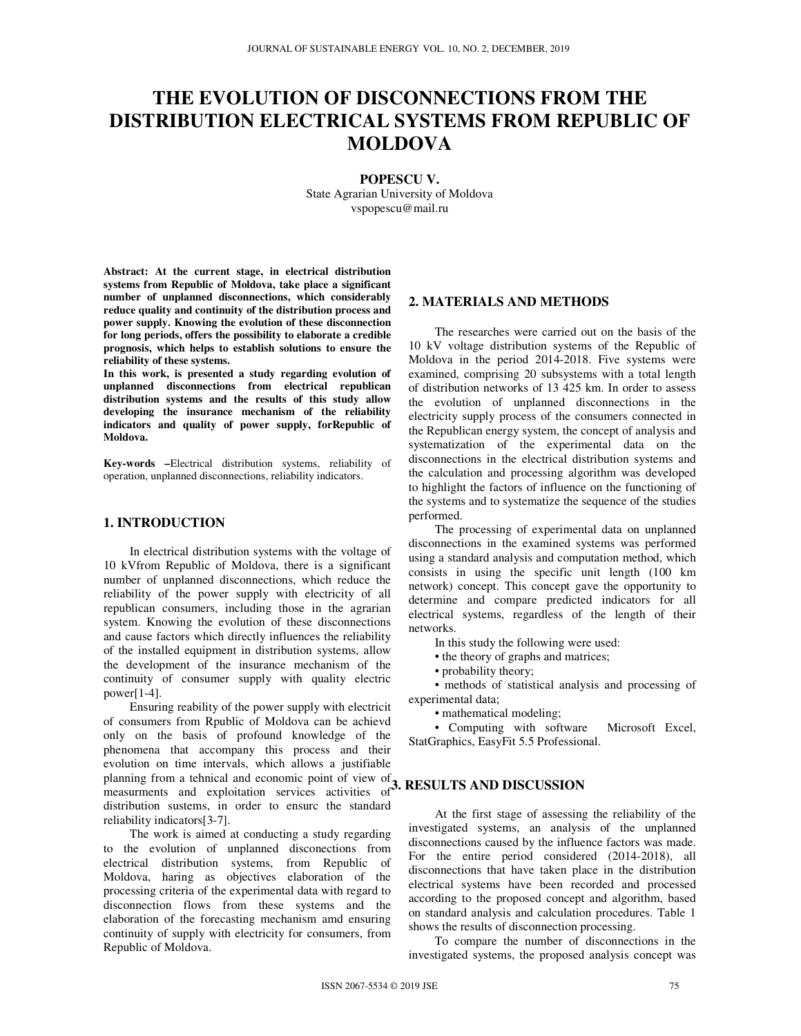# **THE EVOLUTION OF DISCONNECTIONS FROM THE DISTRIBUTION ELECTRICAL SYSTEMS FROM REPUBLIC OF MOLDOVA**

**POPESCU V.** 

State Agrarian University of Moldova vspopescu@mail.ru

**Abstract: At the current stage, in electrical distribution systems from Republic of Moldova, take place a significant number of unplanned disconnections, which considerably reduce quality and continuity of the distribution process and power supply. Knowing the evolution of these disconnection for long periods, offers the possibility to elaborate a credible prognosis, which helps to establish solutions to ensure the reliability of these systems.** 

**In this work, is presented a study regarding evolution of unplanned disconnections from electrical republican distribution systems and the results of this study allow developing the insurance mechanism of the reliability indicators and quality of power supply, forRepublic of Moldova.** 

**Key-words –**Electrical distribution systems, reliability of operation, unplanned disconnections, reliability indicators.

# **1. INTRODUCTION**

In electrical distribution systems with the voltage of 10 kVfrom Republic of Moldova, there is a significant number of unplanned disconnections, which reduce the reliability of the power supply with electricity of all republican consumers, including those in the agrarian system. Knowing the evolution of these disconnections and cause factors which directly influences the reliability of the installed equipment in distribution systems, allow the development of the insurance mechanism of the continuity of consumer supply with quality electric  $power[1-4]$ .

Ensuring reability of the power supply with electricit of consumers from Rpublic of Moldova can be achievd only on the basis of profound knowledge of the phenomena that accompany this process and their evolution on time intervals, which allows a justifiable planning from a tehnical and economic point of view of praining from a tentilear and economic point of view of **3. RESULTS AND DISCUSSION** measurments and exploitation services activities of **3.** RESULTS AND DISCUSSION distribution sustems, in order to ensurc the standard reliability indicators[3-7].

The work is aimed at conducting a study regarding to the evolution of unplanned disconections from electrical distribution systems, from Republic of Moldova, haring as objectives elaboration of the processing criteria of the experimental data with regard to disconnection flows from these systems and the elaboration of the forecasting mechanism amd ensuring continuity of supply with electricity for consumers, from Republic of Moldova.

### **2. MATERIALS AND METHODS**

The researches were carried out on the basis of the 10 kV voltage distribution systems of the Republic of Moldova in the period 2014-2018. Five systems were examined, comprising 20 subsystems with a total length of distribution networks of 13 425 km. In order to assess the evolution of unplanned disconnections in the electricity supply process of the consumers connected in the Republican energy system, the concept of analysis and systematization of the experimental data on the disconnections in the electrical distribution systems and the calculation and processing algorithm was developed to highlight the factors of influence on the functioning of the systems and to systematize the sequence of the studies performed.

The processing of experimental data on unplanned disconnections in the examined systems was performed using a standard analysis and computation method, which consists in using the specific unit length (100 km network) concept. This concept gave the opportunity to determine and compare predicted indicators for all electrical systems, regardless of the length of their networks.

In this study the following were used:

- the theory of graphs and matrices;
- probability theory;

• methods of statistical analysis and processing of experimental data;

• mathematical modeling;

• Computing with software Microsoft Excel, StatGraphics, EasyFit 5.5 Professional.

At the first stage of assessing the reliability of the investigated systems, an analysis of the unplanned disconnections caused by the influence factors was made. For the entire period considered (2014-2018), all disconnections that have taken place in the distribution electrical systems have been recorded and processed according to the proposed concept and algorithm, based on standard analysis and calculation procedures. Table 1 shows the results of disconnection processing.

To compare the number of disconnections in the investigated systems, the proposed analysis concept was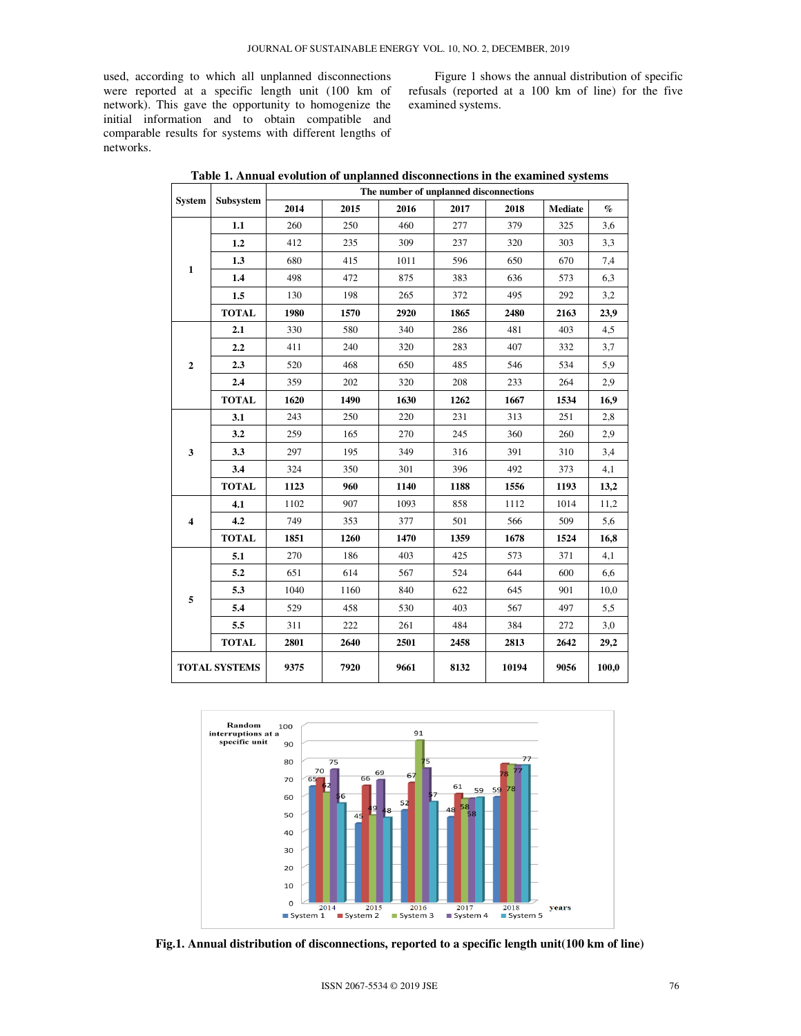used, according to which all unplanned disconnections were reported at a specific length unit (100 km of network). This gave the opportunity to homogenize the initial information and to obtain compatible and comparable results for systems with different lengths of networks.

Figure 1 shows the annual distribution of specific refusals (reported at a 100 km of line) for the five examined systems.

| <b>System</b>           | <b>Subsystem</b> | The number of unplanned disconnections |      |      |      |       |                |       |  |  |
|-------------------------|------------------|----------------------------------------|------|------|------|-------|----------------|-------|--|--|
|                         |                  | 2014                                   | 2015 | 2016 | 2017 | 2018  | <b>Mediate</b> | $\%$  |  |  |
| $\mathbf{1}$            | 1.1              | 260                                    | 250  | 460  | 277  | 379   | 325            | 3,6   |  |  |
|                         | 1.2              | 412                                    | 235  | 309  | 237  | 320   | 303            | 3,3   |  |  |
|                         | 1.3              | 680                                    | 415  | 1011 | 596  | 650   | 670            | 7,4   |  |  |
|                         | 1.4              | 498                                    | 472  | 875  | 383  | 636   | 573            | 6,3   |  |  |
|                         | 1.5              | 130                                    | 198  | 265  | 372  | 495   | 292            | 3,2   |  |  |
|                         | <b>TOTAL</b>     | 1980                                   | 1570 | 2920 | 1865 | 2480  | 2163           | 23,9  |  |  |
| $\overline{2}$          | 2.1              | 330                                    | 580  | 340  | 286  | 481   | 403            | 4,5   |  |  |
|                         | 2.2              | 411                                    | 240  | 320  | 283  | 407   | 332            | 3,7   |  |  |
|                         | 2.3              | 520                                    | 468  | 650  | 485  | 546   | 534            | 5.9   |  |  |
|                         | 2.4              | 359                                    | 202  | 320  | 208  | 233   | 264            | 2,9   |  |  |
|                         | <b>TOTAL</b>     | 1620                                   | 1490 | 1630 | 1262 | 1667  | 1534           | 16,9  |  |  |
| 3                       | 3.1              | 243                                    | 250  | 220  | 231  | 313   | 251            | 2,8   |  |  |
|                         | 3.2              | 259                                    | 165  | 270  | 245  | 360   | 260            | 2,9   |  |  |
|                         | 3.3              | 297                                    | 195  | 349  | 316  | 391   | 310            | 3,4   |  |  |
|                         | 3.4              | 324                                    | 350  | 301  | 396  | 492   | 373            | 4,1   |  |  |
|                         | <b>TOTAL</b>     | 1123                                   | 960  | 1140 | 1188 | 1556  | 1193           | 13,2  |  |  |
| $\overline{\mathbf{4}}$ | 4.1              | 1102                                   | 907  | 1093 | 858  | 1112  | 1014           | 11,2  |  |  |
|                         | 4.2              | 749                                    | 353  | 377  | 501  | 566   | 509            | 5,6   |  |  |
|                         | <b>TOTAL</b>     | 1851                                   | 1260 | 1470 | 1359 | 1678  | 1524           | 16,8  |  |  |
| 5                       | 5.1              | 270                                    | 186  | 403  | 425  | 573   | 371            | 4,1   |  |  |
|                         | 5.2              | 651                                    | 614  | 567  | 524  | 644   | 600            | 6,6   |  |  |
|                         | 5.3              | 1040                                   | 1160 | 840  | 622  | 645   | 901            | 10,0  |  |  |
|                         | 5.4              | 529                                    | 458  | 530  | 403  | 567   | 497            | 5,5   |  |  |
|                         | 5.5              | 311                                    | 222  | 261  | 484  | 384   | 272            | 3,0   |  |  |
|                         | <b>TOTAL</b>     | 2801                                   | 2640 | 2501 | 2458 | 2813  | 2642           | 29,2  |  |  |
| <b>TOTAL SYSTEMS</b>    |                  | 9375                                   | 7920 | 9661 | 8132 | 10194 | 9056           | 100,0 |  |  |

|  |  | Table 1. Annual evolution of unplanned disconnections in the examined systems |
|--|--|-------------------------------------------------------------------------------|
|  |  |                                                                               |



**Fig.1. Annual distribution of disconnections, reported to a specific length unit(100 km of line)**